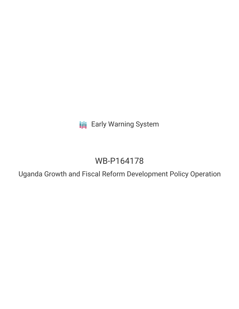**III** Early Warning System

# WB-P164178

Uganda Growth and Fiscal Reform Development Policy Operation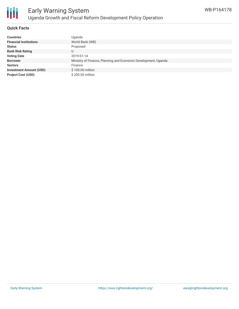

### **Quick Facts**

| <b>Countries</b>               | Uganda                                                         |
|--------------------------------|----------------------------------------------------------------|
| <b>Financial Institutions</b>  | World Bank (WB)                                                |
| <b>Status</b>                  | Proposed                                                       |
| <b>Bank Risk Rating</b>        |                                                                |
| <b>Voting Date</b>             | 2019-01-14                                                     |
| <b>Borrower</b>                | Ministry of Finance, Planning and Economic Development, Uganda |
| <b>Sectors</b>                 | Finance                                                        |
| <b>Investment Amount (USD)</b> | \$100.00 million                                               |
| <b>Project Cost (USD)</b>      | \$200.00 million                                               |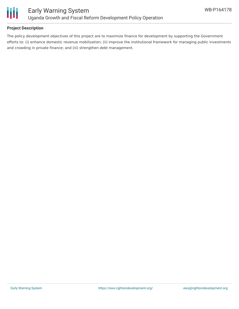

### **Project Description**

The policy development objectives of this project are to maximize finance for development by supporting the Government efforts to: (i) enhance domestic revenue mobilization; (ii) improve the institutional framework for managing public investments and crowding in private finance; and (iii) strengthen debt management.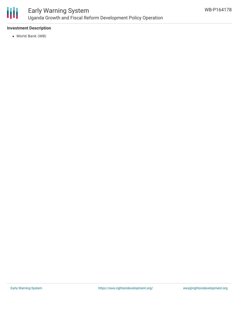

### **Investment Description**

World Bank (WB)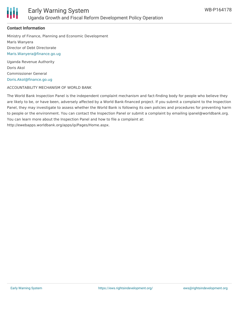

### **Contact Information**

Ministry of Finance, Planning and Economic Development Maris Wanyera Director of Debt Directorate [Maris.Wanyera@finance.go.ug](mailto:Maris.Wanyera@finance.go.ug)

Uganda Revenue Authority Doris Akol Commissioner General [Doris.Akol@finance.go.ug](mailto:Doris.Akol@finance.go.ug)

ACCOUNTABILITY MECHANISM OF WORLD BANK

The World Bank Inspection Panel is the independent complaint mechanism and fact-finding body for people who believe they are likely to be, or have been, adversely affected by a World Bank-financed project. If you submit a complaint to the Inspection Panel, they may investigate to assess whether the World Bank is following its own policies and procedures for preventing harm to people or the environment. You can contact the Inspection Panel or submit a complaint by emailing ipanel@worldbank.org. You can learn more about the Inspection Panel and how to file a complaint at: http://ewebapps.worldbank.org/apps/ip/Pages/Home.aspx.